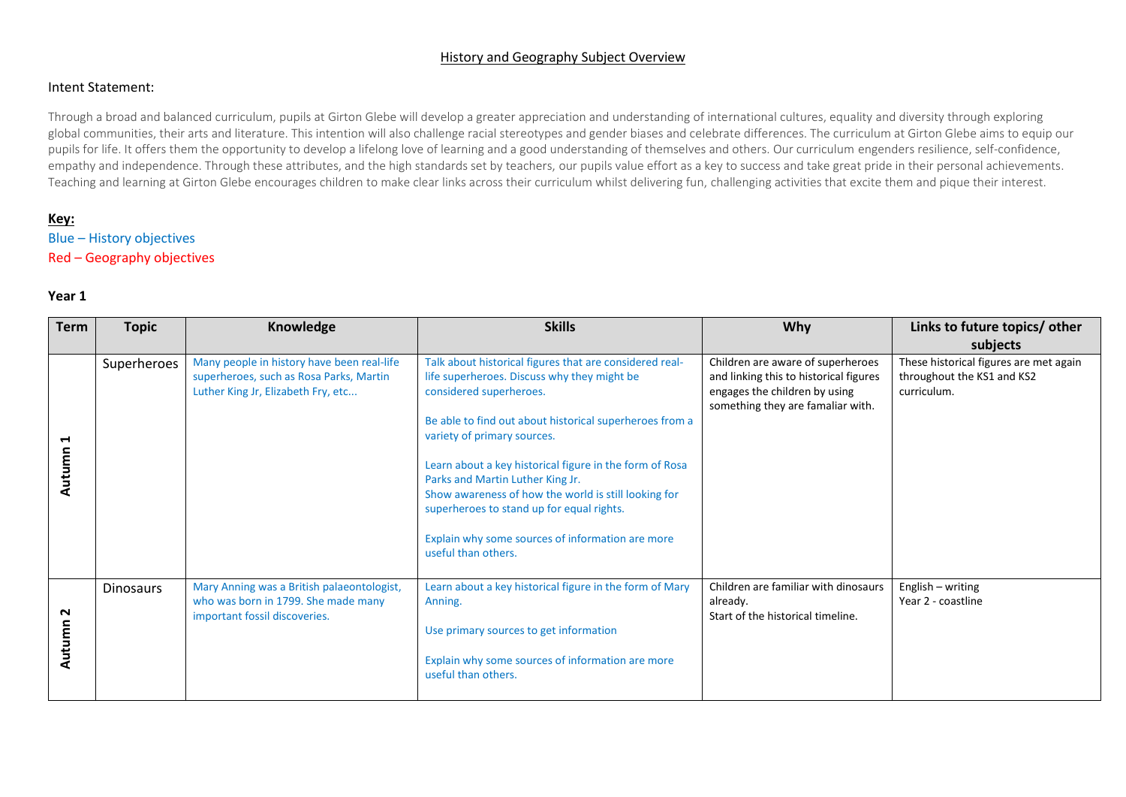#### History and Geography Subject Overview

#### Intent Statement:

Through a broad and balanced curriculum, pupils at Girton Glebe will develop a greater appreciation and understanding of international cultures, equality and diversity through exploring global communities, their arts and literature. This intention will also challenge racial stereotypes and gender biases and celebrate differences. The curriculum at Girton Glebe aims to equip our pupils for life. It offers them the opportunity to develop a lifelong love of learning and a good understanding of themselves and others. Our curriculum engenders resilience, self-confidence, empathy and independence. Through these attributes, and the high standards set by teachers, our pupils value effort as a key to success and take great pride in their personal achievements. Teaching and learning at Girton Glebe encourages children to make clear links across their curriculum whilst delivering fun, challenging activities that excite them and pique their interest.

#### **Key:**

# Blue – History objectives

# Red – Geography objectives

| <b>Term</b> | <b>Topic</b>     | Knowledge                                                                                                                   | <b>Skills</b>                                                                                                                                                                                                                                                                                                                                                                                                                                                                                              | Why                                                                                                                                               | Links to future topics/ other                                                       |
|-------------|------------------|-----------------------------------------------------------------------------------------------------------------------------|------------------------------------------------------------------------------------------------------------------------------------------------------------------------------------------------------------------------------------------------------------------------------------------------------------------------------------------------------------------------------------------------------------------------------------------------------------------------------------------------------------|---------------------------------------------------------------------------------------------------------------------------------------------------|-------------------------------------------------------------------------------------|
|             |                  |                                                                                                                             |                                                                                                                                                                                                                                                                                                                                                                                                                                                                                                            |                                                                                                                                                   | subjects                                                                            |
| ↤<br>Autum  | Superheroes      | Many people in history have been real-life<br>superheroes, such as Rosa Parks, Martin<br>Luther King Jr, Elizabeth Fry, etc | Talk about historical figures that are considered real-<br>life superheroes. Discuss why they might be<br>considered superheroes.<br>Be able to find out about historical superheroes from a<br>variety of primary sources.<br>Learn about a key historical figure in the form of Rosa<br>Parks and Martin Luther King Jr.<br>Show awareness of how the world is still looking for<br>superheroes to stand up for equal rights.<br>Explain why some sources of information are more<br>useful than others. | Children are aware of superheroes<br>and linking this to historical figures<br>engages the children by using<br>something they are famaliar with. | These historical figures are met again<br>throughout the KS1 and KS2<br>curriculum. |
| ี<br>Autumn | <b>Dinosaurs</b> | Mary Anning was a British palaeontologist,<br>who was born in 1799. She made many<br>important fossil discoveries.          | Learn about a key historical figure in the form of Mary<br>Anning.<br>Use primary sources to get information<br>Explain why some sources of information are more<br>useful than others.                                                                                                                                                                                                                                                                                                                    | Children are familiar with dinosaurs<br>already.<br>Start of the historical timeline.                                                             | English - writing<br>Year 2 - coastline                                             |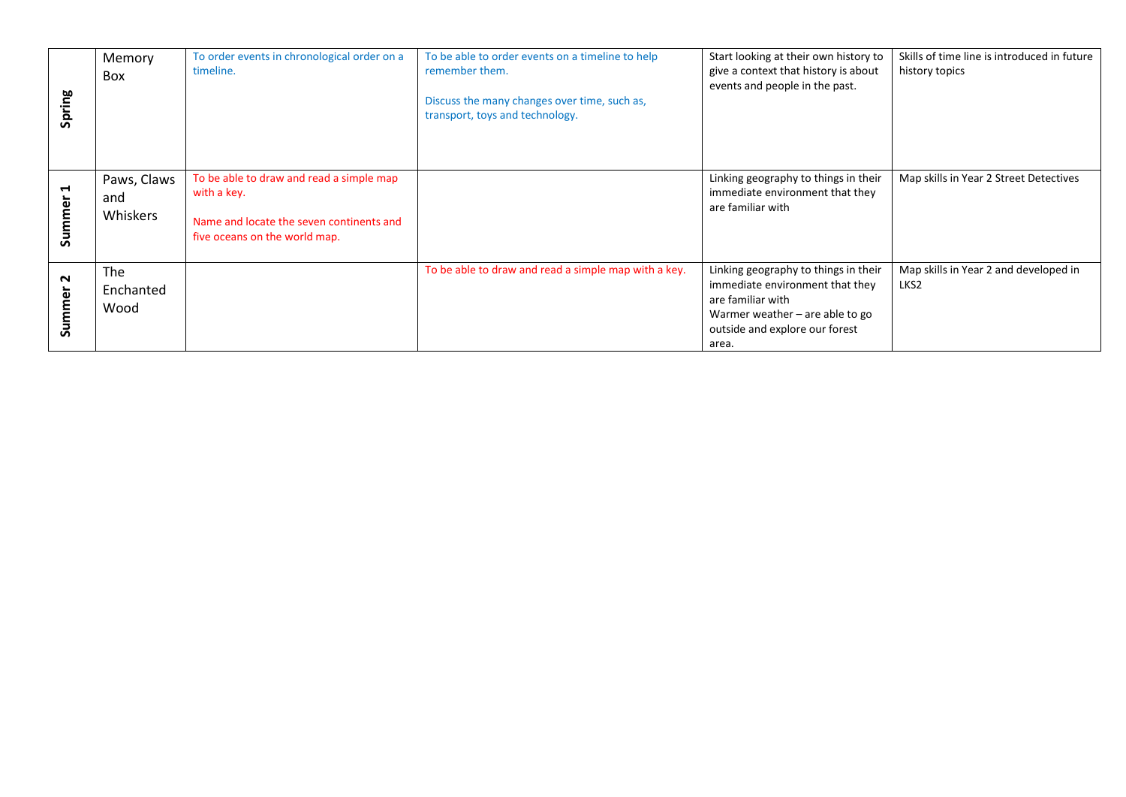| Spring           | Memory<br><b>Box</b>           | To order events in chronological order on a<br>timeline.                                                                             | To be able to order events on a timeline to help<br>remember them.<br>Discuss the many changes over time, such as,<br>transport, toys and technology. | Start looking at their own history to<br>give a context that history is about<br>events and people in the past.                                                              | Skills of time line is introduced in future<br>history topics |
|------------------|--------------------------------|--------------------------------------------------------------------------------------------------------------------------------------|-------------------------------------------------------------------------------------------------------------------------------------------------------|------------------------------------------------------------------------------------------------------------------------------------------------------------------------------|---------------------------------------------------------------|
| Н<br>Summer      | Paws, Claws<br>and<br>Whiskers | To be able to draw and read a simple map<br>with a key.<br>Name and locate the seven continents and<br>five oceans on the world map. |                                                                                                                                                       | Linking geography to things in their<br>immediate environment that they<br>are familiar with                                                                                 | Map skills in Year 2 Street Detectives                        |
| $\sim$<br>Summer | The<br>Enchanted<br>Wood       |                                                                                                                                      | To be able to draw and read a simple map with a key.                                                                                                  | Linking geography to things in their<br>immediate environment that they<br>are familiar with<br>Warmer weather $-$ are able to go<br>outside and explore our forest<br>area. | Map skills in Year 2 and developed in<br>LKS2                 |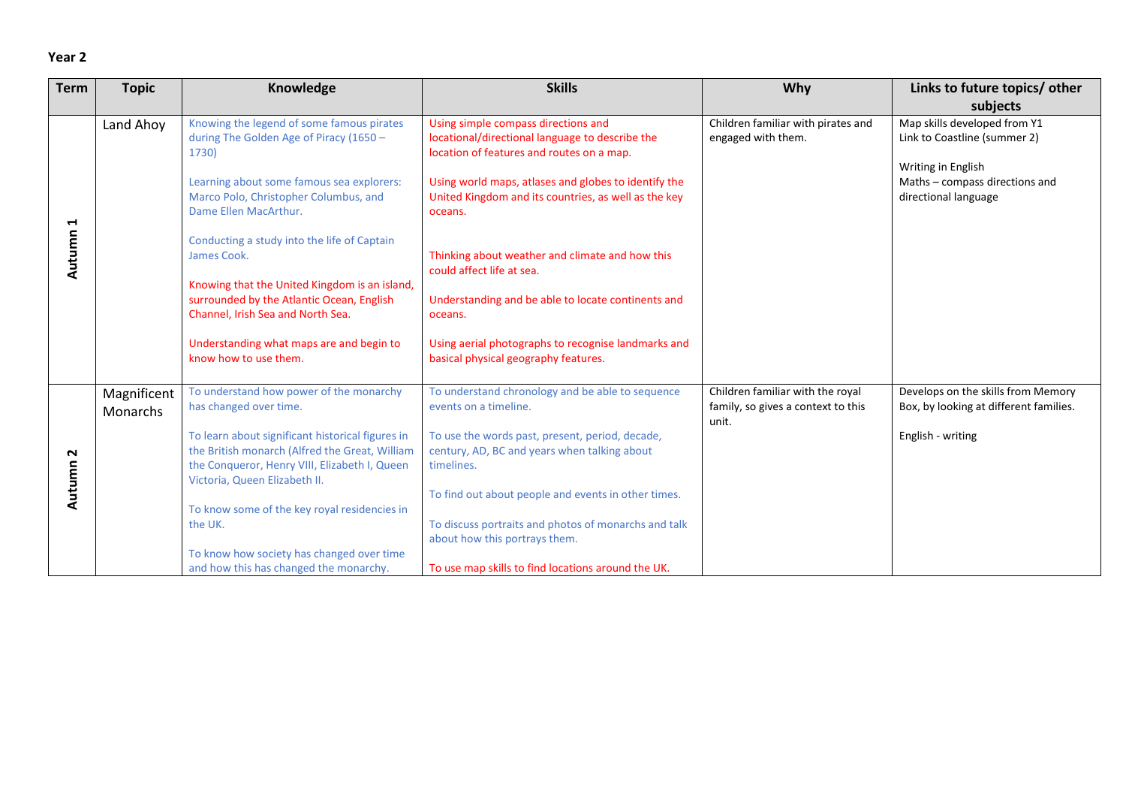| <b>Term</b> | <b>Topic</b>                   | Knowledge                                                                                                                                                                                                                                                   | <b>Skills</b>                                                                                                                                                                                                                                                  | Why                                                                             | Links to future topics/ other                                                                                                                |
|-------------|--------------------------------|-------------------------------------------------------------------------------------------------------------------------------------------------------------------------------------------------------------------------------------------------------------|----------------------------------------------------------------------------------------------------------------------------------------------------------------------------------------------------------------------------------------------------------------|---------------------------------------------------------------------------------|----------------------------------------------------------------------------------------------------------------------------------------------|
|             |                                |                                                                                                                                                                                                                                                             |                                                                                                                                                                                                                                                                |                                                                                 | subjects                                                                                                                                     |
| ᆏ           | Land Ahoy                      | Knowing the legend of some famous pirates<br>during The Golden Age of Piracy (1650 -<br>1730)<br>Learning about some famous sea explorers:<br>Marco Polo, Christopher Columbus, and<br>Dame Ellen MacArthur.<br>Conducting a study into the life of Captain | Using simple compass directions and<br>locational/directional language to describe the<br>location of features and routes on a map.<br>Using world maps, atlases and globes to identify the<br>United Kingdom and its countries, as well as the key<br>oceans. | Children familiar with pirates and<br>engaged with them.                        | Map skills developed from Y1<br>Link to Coastline (summer 2)<br>Writing in English<br>Maths - compass directions and<br>directional language |
| Autumn      |                                | James Cook.<br>Knowing that the United Kingdom is an island,<br>surrounded by the Atlantic Ocean, English<br>Channel, Irish Sea and North Sea.                                                                                                              | Thinking about weather and climate and how this<br>could affect life at sea.<br>Understanding and be able to locate continents and<br>oceans.                                                                                                                  |                                                                                 |                                                                                                                                              |
|             |                                | Understanding what maps are and begin to<br>know how to use them.                                                                                                                                                                                           | Using aerial photographs to recognise landmarks and<br>basical physical geography features.                                                                                                                                                                    |                                                                                 |                                                                                                                                              |
|             | Magnificent<br><b>Monarchs</b> | To understand how power of the monarchy<br>has changed over time.                                                                                                                                                                                           | To understand chronology and be able to sequence<br>events on a timeline.                                                                                                                                                                                      | Children familiar with the royal<br>family, so gives a context to this<br>unit. | Develops on the skills from Memory<br>Box, by looking at different families.                                                                 |
| N<br>Autumn |                                | To learn about significant historical figures in<br>the British monarch (Alfred the Great, William<br>the Conqueror, Henry VIII, Elizabeth I, Queen<br>Victoria, Queen Elizabeth II.                                                                        | To use the words past, present, period, decade,<br>century, AD, BC and years when talking about<br>timelines.                                                                                                                                                  |                                                                                 | English - writing                                                                                                                            |
|             |                                | To know some of the key royal residencies in                                                                                                                                                                                                                | To find out about people and events in other times.                                                                                                                                                                                                            |                                                                                 |                                                                                                                                              |
|             |                                | the UK.                                                                                                                                                                                                                                                     | To discuss portraits and photos of monarchs and talk<br>about how this portrays them.                                                                                                                                                                          |                                                                                 |                                                                                                                                              |
|             |                                | To know how society has changed over time<br>and how this has changed the monarchy.                                                                                                                                                                         | To use map skills to find locations around the UK.                                                                                                                                                                                                             |                                                                                 |                                                                                                                                              |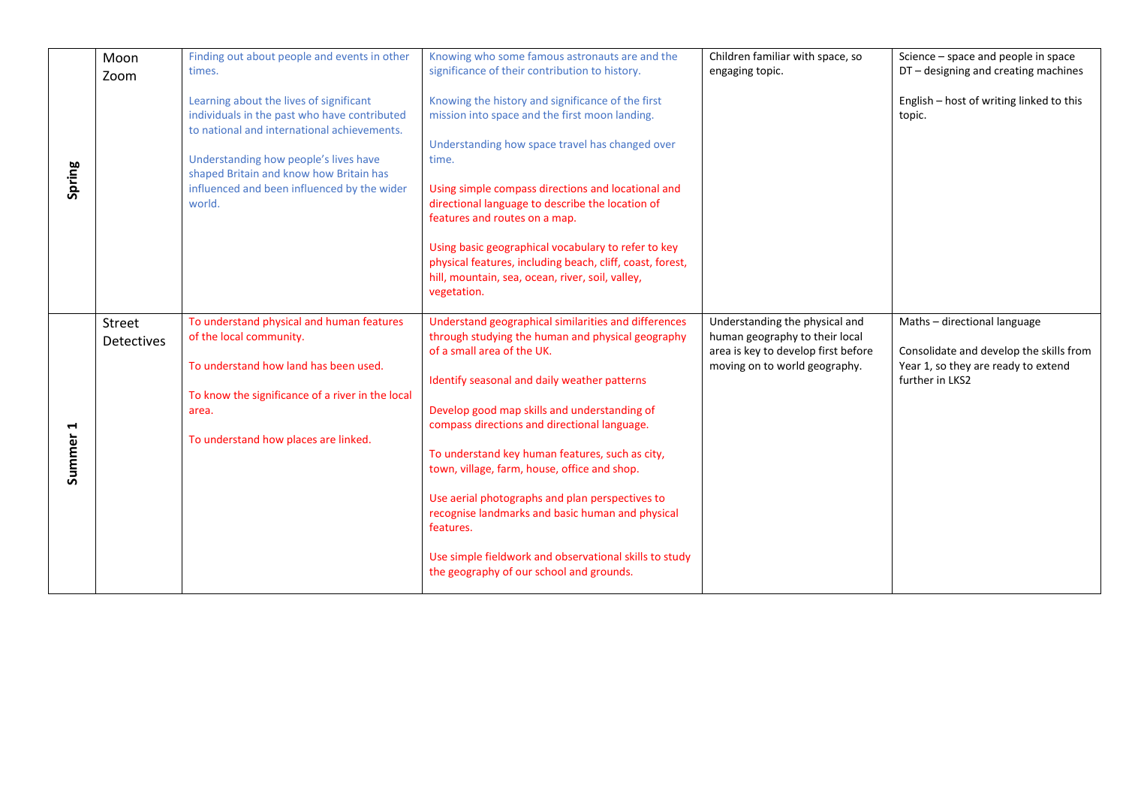|             | Moon<br>Zoom                       | Finding out about people and events in other<br>times.                                                                                                                                                                                                                              | Knowing who some famous astronauts are and the<br>significance of their contribution to history.                                                                                                                                                                                                                                                                                                                                                                                                                                                                                                                     | Children familiar with space, so<br>engaging topic.                                                                                      | Science - space and people in space<br>DT - designing and creating machines                                                       |
|-------------|------------------------------------|-------------------------------------------------------------------------------------------------------------------------------------------------------------------------------------------------------------------------------------------------------------------------------------|----------------------------------------------------------------------------------------------------------------------------------------------------------------------------------------------------------------------------------------------------------------------------------------------------------------------------------------------------------------------------------------------------------------------------------------------------------------------------------------------------------------------------------------------------------------------------------------------------------------------|------------------------------------------------------------------------------------------------------------------------------------------|-----------------------------------------------------------------------------------------------------------------------------------|
| Spring      |                                    | Learning about the lives of significant<br>individuals in the past who have contributed<br>to national and international achievements.<br>Understanding how people's lives have<br>shaped Britain and know how Britain has<br>influenced and been influenced by the wider<br>world. | Knowing the history and significance of the first<br>mission into space and the first moon landing.<br>Understanding how space travel has changed over<br>time.<br>Using simple compass directions and locational and<br>directional language to describe the location of<br>features and routes on a map.<br>Using basic geographical vocabulary to refer to key<br>physical features, including beach, cliff, coast, forest,<br>hill, mountain, sea, ocean, river, soil, valley,<br>vegetation.                                                                                                                    |                                                                                                                                          | English - host of writing linked to this<br>topic.                                                                                |
| Н<br>Summer | <b>Street</b><br><b>Detectives</b> | To understand physical and human features<br>of the local community.<br>To understand how land has been used.<br>To know the significance of a river in the local<br>area.<br>To understand how places are linked.                                                                  | Understand geographical similarities and differences<br>through studying the human and physical geography<br>of a small area of the UK.<br>Identify seasonal and daily weather patterns<br>Develop good map skills and understanding of<br>compass directions and directional language.<br>To understand key human features, such as city,<br>town, village, farm, house, office and shop.<br>Use aerial photographs and plan perspectives to<br>recognise landmarks and basic human and physical<br>features.<br>Use simple fieldwork and observational skills to study<br>the geography of our school and grounds. | Understanding the physical and<br>human geography to their local<br>area is key to develop first before<br>moving on to world geography. | Maths - directional language<br>Consolidate and develop the skills from<br>Year 1, so they are ready to extend<br>further in LKS2 |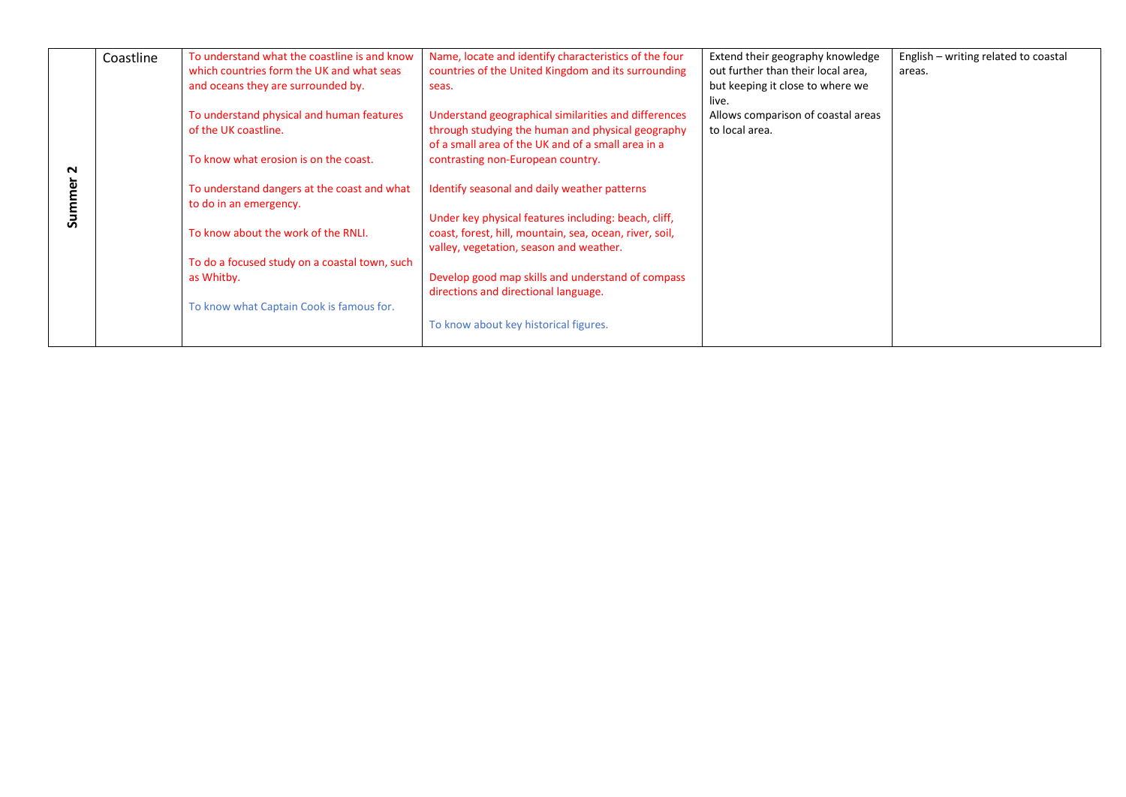|   | Coastline | To understand what the coastline is and know  | Name, locate and identify characteristics of the four   | Extend their geography knowledge   | English - writing related to coastal |
|---|-----------|-----------------------------------------------|---------------------------------------------------------|------------------------------------|--------------------------------------|
|   |           | which countries form the UK and what seas     | countries of the United Kingdom and its surrounding     | out further than their local area, | areas.                               |
|   |           | and oceans they are surrounded by.            | seas.                                                   | but keeping it close to where we   |                                      |
|   |           |                                               |                                                         | live.                              |                                      |
|   |           | To understand physical and human features     | Understand geographical similarities and differences    | Allows comparison of coastal areas |                                      |
|   |           | of the UK coastline.                          | through studying the human and physical geography       | to local area.                     |                                      |
|   |           |                                               | of a small area of the UK and of a small area in a      |                                    |                                      |
|   |           | To know what erosion is on the coast.         | contrasting non-European country.                       |                                    |                                      |
| N |           |                                               |                                                         |                                    |                                      |
| ω |           | To understand dangers at the coast and what   | Identify seasonal and daily weather patterns            |                                    |                                      |
|   |           | to do in an emergency.                        |                                                         |                                    |                                      |
| ౘ |           |                                               | Under key physical features including: beach, cliff,    |                                    |                                      |
|   |           | To know about the work of the RNLI.           | coast, forest, hill, mountain, sea, ocean, river, soil, |                                    |                                      |
|   |           |                                               | valley, vegetation, season and weather.                 |                                    |                                      |
|   |           | To do a focused study on a coastal town, such |                                                         |                                    |                                      |
|   |           | as Whitby.                                    | Develop good map skills and understand of compass       |                                    |                                      |
|   |           |                                               | directions and directional language.                    |                                    |                                      |
|   |           | To know what Captain Cook is famous for.      |                                                         |                                    |                                      |
|   |           |                                               | To know about key historical figures.                   |                                    |                                      |
|   |           |                                               |                                                         |                                    |                                      |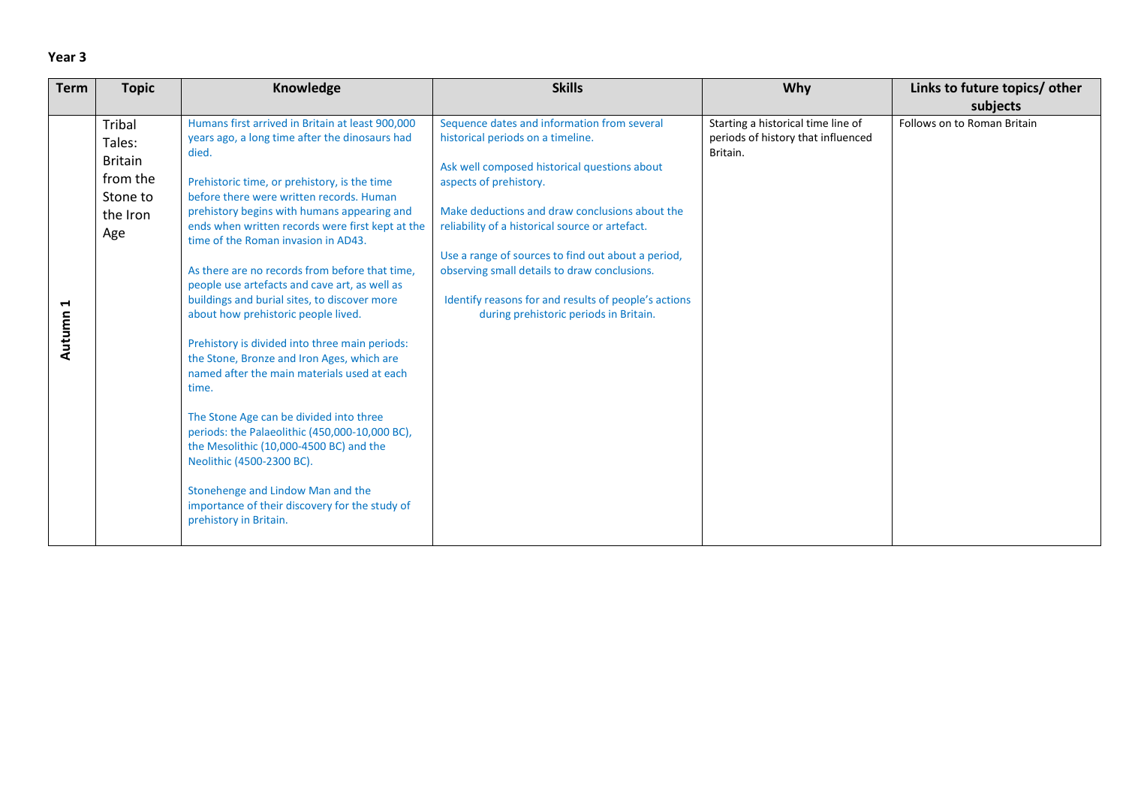| Term<br><b>Skills</b><br><b>Topic</b><br>Knowledge                                                                                                                                                                                                                                                                                                                                                                                                                                                                                                                                                                                                                                                                                                                                                                                                                                                                                                                                                                                                                                                                                                                                                                                                                                                                                                                                                                                                                                                                                                                   | Why<br>Links to future topics/ other                                                                                |
|----------------------------------------------------------------------------------------------------------------------------------------------------------------------------------------------------------------------------------------------------------------------------------------------------------------------------------------------------------------------------------------------------------------------------------------------------------------------------------------------------------------------------------------------------------------------------------------------------------------------------------------------------------------------------------------------------------------------------------------------------------------------------------------------------------------------------------------------------------------------------------------------------------------------------------------------------------------------------------------------------------------------------------------------------------------------------------------------------------------------------------------------------------------------------------------------------------------------------------------------------------------------------------------------------------------------------------------------------------------------------------------------------------------------------------------------------------------------------------------------------------------------------------------------------------------------|---------------------------------------------------------------------------------------------------------------------|
|                                                                                                                                                                                                                                                                                                                                                                                                                                                                                                                                                                                                                                                                                                                                                                                                                                                                                                                                                                                                                                                                                                                                                                                                                                                                                                                                                                                                                                                                                                                                                                      | subjects                                                                                                            |
| Sequence dates and information from several<br>Humans first arrived in Britain at least 900,000<br>Tribal<br>years ago, a long time after the dinosaurs had<br>historical periods on a timeline.<br>Tales:<br>died.<br><b>Britain</b><br>Ask well composed historical questions about<br>from the<br>Prehistoric time, or prehistory, is the time<br>aspects of prehistory.<br>Stone to<br>before there were written records. Human<br>Make deductions and draw conclusions about the<br>prehistory begins with humans appearing and<br>the Iron<br>ends when written records were first kept at the<br>reliability of a historical source or artefact.<br>Age<br>time of the Roman invasion in AD43.<br>Use a range of sources to find out about a period,<br>As there are no records from before that time,<br>observing small details to draw conclusions.<br>people use artefacts and cave art, as well as<br>Identify reasons for and results of people's actions<br>buildings and burial sites, to discover more<br>↤<br>during prehistoric periods in Britain.<br>about how prehistoric people lived.<br>Autumn<br>Prehistory is divided into three main periods:<br>the Stone, Bronze and Iron Ages, which are<br>named after the main materials used at each<br>time.<br>The Stone Age can be divided into three<br>periods: the Palaeolithic (450,000-10,000 BC),<br>the Mesolithic (10,000-4500 BC) and the<br>Neolithic (4500-2300 BC).<br>Stonehenge and Lindow Man and the<br>importance of their discovery for the study of<br>prehistory in Britain. | Starting a historical time line of<br>Follows on to Roman Britain<br>periods of history that influenced<br>Britain. |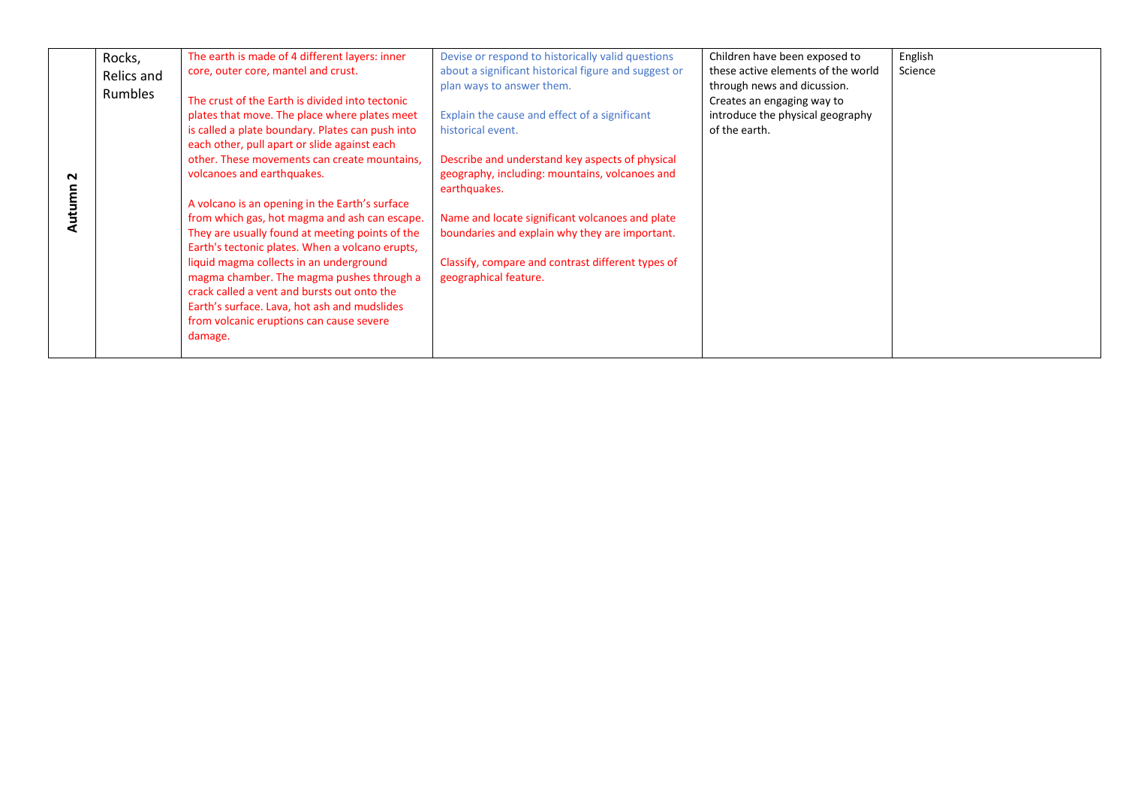|        | Rocks,     | The earth is made of 4 different layers: inner   | Devise or respond to historically valid questions    | Children have been exposed to      | English |
|--------|------------|--------------------------------------------------|------------------------------------------------------|------------------------------------|---------|
|        |            | core, outer core, mantel and crust.              | about a significant historical figure and suggest or | these active elements of the world | Science |
|        | Relics and |                                                  | plan ways to answer them.                            | through news and dicussion.        |         |
|        | Rumbles    | The crust of the Earth is divided into tectonic  |                                                      |                                    |         |
|        |            |                                                  |                                                      | Creates an engaging way to         |         |
|        |            | plates that move. The place where plates meet    | Explain the cause and effect of a significant        | introduce the physical geography   |         |
|        |            | is called a plate boundary. Plates can push into | historical event.                                    | of the earth.                      |         |
|        |            | each other, pull apart or slide against each     |                                                      |                                    |         |
|        |            | other. These movements can create mountains,     | Describe and understand key aspects of physical      |                                    |         |
| $\sim$ |            | volcanoes and earthquakes.                       | geography, including: mountains, volcanoes and       |                                    |         |
|        |            |                                                  | earthquakes.                                         |                                    |         |
| tumn   |            | A volcano is an opening in the Earth's surface   |                                                      |                                    |         |
|        |            | from which gas, hot magma and ash can escape.    | Name and locate significant volcanoes and plate      |                                    |         |
| ā      |            | They are usually found at meeting points of the  | boundaries and explain why they are important.       |                                    |         |
|        |            | Earth's tectonic plates. When a volcano erupts,  |                                                      |                                    |         |
|        |            |                                                  |                                                      |                                    |         |
|        |            | liquid magma collects in an underground          | Classify, compare and contrast different types of    |                                    |         |
|        |            | magma chamber. The magma pushes through a        | geographical feature.                                |                                    |         |
|        |            | crack called a vent and bursts out onto the      |                                                      |                                    |         |
|        |            | Earth's surface. Lava, hot ash and mudslides     |                                                      |                                    |         |
|        |            | from volcanic eruptions can cause severe         |                                                      |                                    |         |
|        |            | damage.                                          |                                                      |                                    |         |
|        |            |                                                  |                                                      |                                    |         |
|        |            |                                                  |                                                      |                                    |         |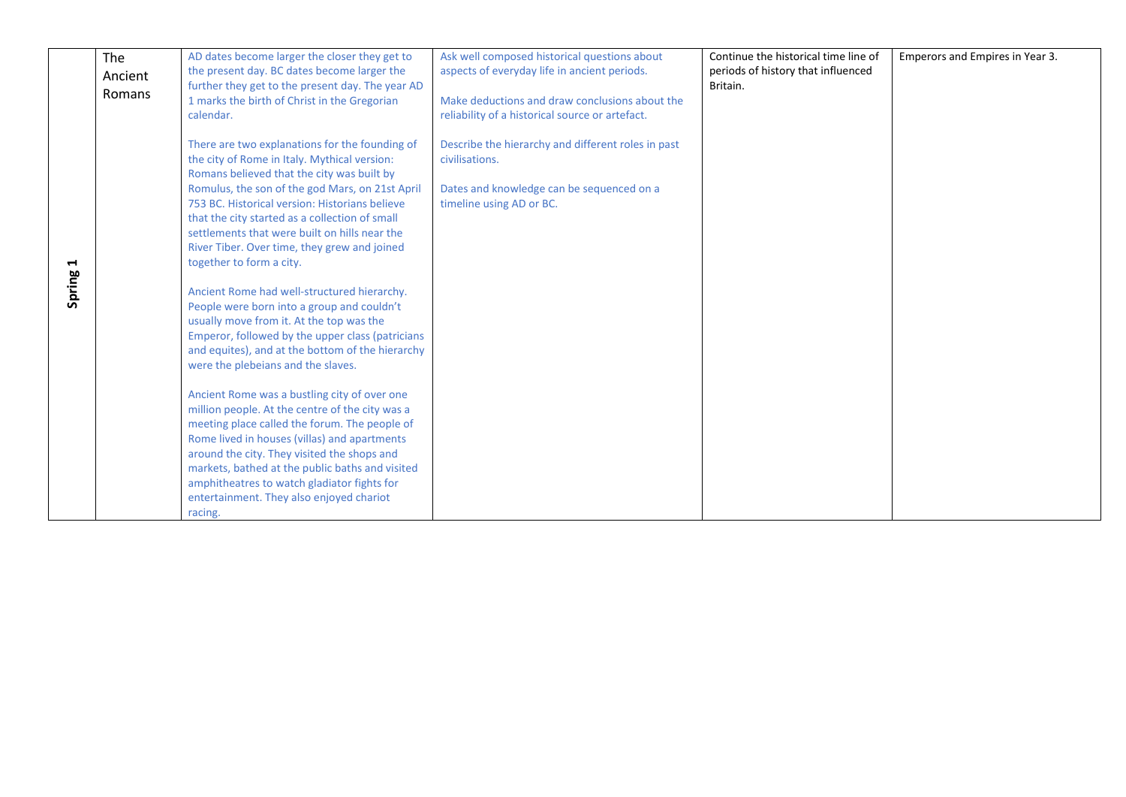|             | The<br>Ancient<br>Romans | AD dates become larger the closer they get to<br>the present day. BC dates become larger the<br>further they get to the present day. The year AD<br>1 marks the birth of Christ in the Gregorian<br>calendar.                                                                                                                                                                                                                                                                                                                                                                                                                                                                                                                                                                                                                                                                                                                                                                                                                                                                                                                       | Ask well composed historical questions about<br>aspects of everyday life in ancient periods.<br>Make deductions and draw conclusions about the<br>reliability of a historical source or artefact. | Continue the historical time line of<br>periods of history that influenced<br>Britain. | Emperors and Empires in Year 3. |
|-------------|--------------------------|-------------------------------------------------------------------------------------------------------------------------------------------------------------------------------------------------------------------------------------------------------------------------------------------------------------------------------------------------------------------------------------------------------------------------------------------------------------------------------------------------------------------------------------------------------------------------------------------------------------------------------------------------------------------------------------------------------------------------------------------------------------------------------------------------------------------------------------------------------------------------------------------------------------------------------------------------------------------------------------------------------------------------------------------------------------------------------------------------------------------------------------|---------------------------------------------------------------------------------------------------------------------------------------------------------------------------------------------------|----------------------------------------------------------------------------------------|---------------------------------|
| ⊣<br>Spring |                          | There are two explanations for the founding of<br>the city of Rome in Italy. Mythical version:<br>Romans believed that the city was built by<br>Romulus, the son of the god Mars, on 21st April<br>753 BC. Historical version: Historians believe<br>that the city started as a collection of small<br>settlements that were built on hills near the<br>River Tiber. Over time, they grew and joined<br>together to form a city.<br>Ancient Rome had well-structured hierarchy.<br>People were born into a group and couldn't<br>usually move from it. At the top was the<br>Emperor, followed by the upper class (patricians<br>and equites), and at the bottom of the hierarchy<br>were the plebeians and the slaves.<br>Ancient Rome was a bustling city of over one<br>million people. At the centre of the city was a<br>meeting place called the forum. The people of<br>Rome lived in houses (villas) and apartments<br>around the city. They visited the shops and<br>markets, bathed at the public baths and visited<br>amphitheatres to watch gladiator fights for<br>entertainment. They also enjoyed chariot<br>racing. | Describe the hierarchy and different roles in past<br>civilisations.<br>Dates and knowledge can be sequenced on a<br>timeline using AD or BC.                                                     |                                                                                        |                                 |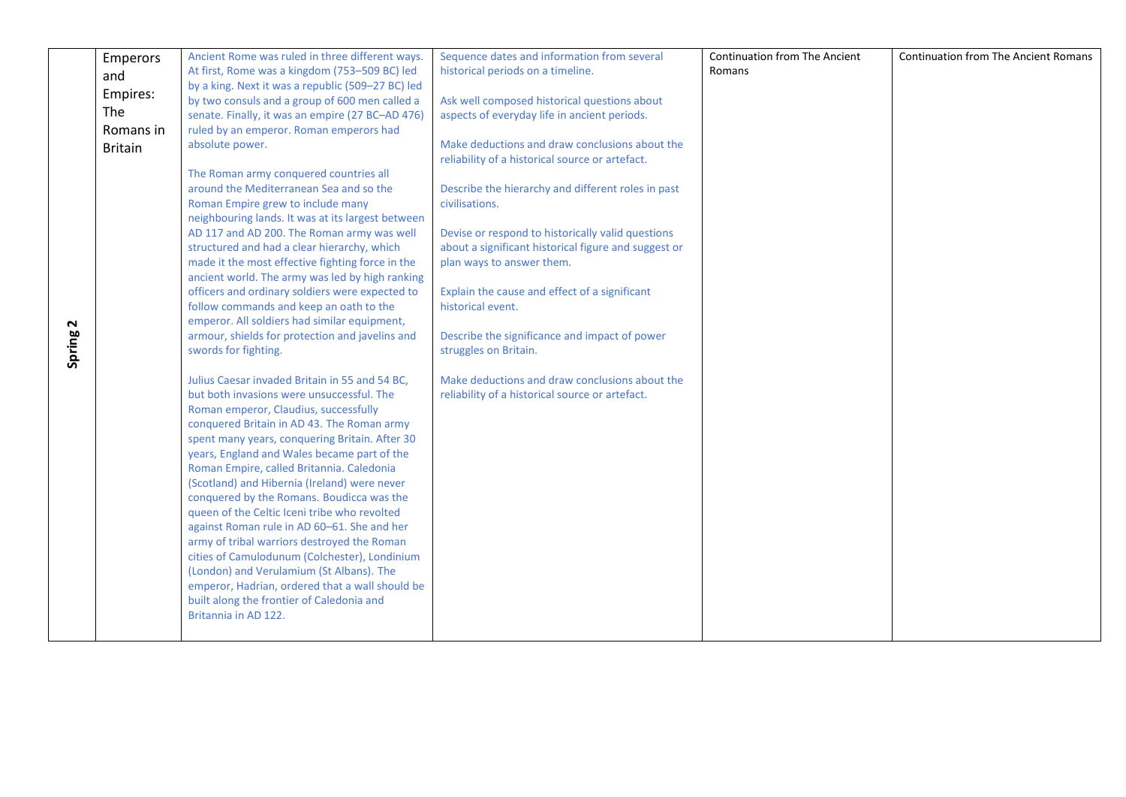|        | Emperors       | Ancient Rome was ruled in three different ways.                                             | Sequence dates and information from several                          | Continuation from The Ancient | <b>Continuation from The Ancient Romans</b> |
|--------|----------------|---------------------------------------------------------------------------------------------|----------------------------------------------------------------------|-------------------------------|---------------------------------------------|
|        | and            | At first, Rome was a kingdom (753-509 BC) led                                               | historical periods on a timeline.                                    | Romans                        |                                             |
|        | Empires:       | by a king. Next it was a republic (509-27 BC) led                                           |                                                                      |                               |                                             |
|        |                | by two consuls and a group of 600 men called a                                              | Ask well composed historical questions about                         |                               |                                             |
|        | The            | senate. Finally, it was an empire (27 BC-AD 476)                                            | aspects of everyday life in ancient periods.                         |                               |                                             |
|        | Romans in      | ruled by an emperor. Roman emperors had                                                     |                                                                      |                               |                                             |
|        | <b>Britain</b> | absolute power.                                                                             | Make deductions and draw conclusions about the                       |                               |                                             |
|        |                |                                                                                             | reliability of a historical source or artefact.                      |                               |                                             |
|        |                | The Roman army conquered countries all<br>around the Mediterranean Sea and so the           |                                                                      |                               |                                             |
|        |                | Roman Empire grew to include many                                                           | Describe the hierarchy and different roles in past<br>civilisations. |                               |                                             |
|        |                | neighbouring lands. It was at its largest between                                           |                                                                      |                               |                                             |
|        |                | AD 117 and AD 200. The Roman army was well                                                  | Devise or respond to historically valid questions                    |                               |                                             |
|        |                | structured and had a clear hierarchy, which                                                 | about a significant historical figure and suggest or                 |                               |                                             |
|        |                | made it the most effective fighting force in the                                            | plan ways to answer them.                                            |                               |                                             |
|        |                | ancient world. The army was led by high ranking                                             |                                                                      |                               |                                             |
|        |                | officers and ordinary soldiers were expected to                                             | Explain the cause and effect of a significant                        |                               |                                             |
|        |                | follow commands and keep an oath to the                                                     | historical event.                                                    |                               |                                             |
| N      |                | emperor. All soldiers had similar equipment,                                                |                                                                      |                               |                                             |
|        |                | armour, shields for protection and javelins and                                             | Describe the significance and impact of power                        |                               |                                             |
| Spring |                | swords for fighting.                                                                        | struggles on Britain.                                                |                               |                                             |
|        |                | Julius Caesar invaded Britain in 55 and 54 BC,                                              | Make deductions and draw conclusions about the                       |                               |                                             |
|        |                | but both invasions were unsuccessful. The                                                   | reliability of a historical source or artefact.                      |                               |                                             |
|        |                | Roman emperor, Claudius, successfully                                                       |                                                                      |                               |                                             |
|        |                | conquered Britain in AD 43. The Roman army                                                  |                                                                      |                               |                                             |
|        |                | spent many years, conquering Britain. After 30                                              |                                                                      |                               |                                             |
|        |                | years, England and Wales became part of the                                                 |                                                                      |                               |                                             |
|        |                | Roman Empire, called Britannia. Caledonia                                                   |                                                                      |                               |                                             |
|        |                | (Scotland) and Hibernia (Ireland) were never                                                |                                                                      |                               |                                             |
|        |                | conquered by the Romans. Boudicca was the                                                   |                                                                      |                               |                                             |
|        |                | queen of the Celtic Iceni tribe who revolted<br>against Roman rule in AD 60-61. She and her |                                                                      |                               |                                             |
|        |                | army of tribal warriors destroyed the Roman                                                 |                                                                      |                               |                                             |
|        |                | cities of Camulodunum (Colchester), Londinium                                               |                                                                      |                               |                                             |
|        |                | (London) and Verulamium (St Albans). The                                                    |                                                                      |                               |                                             |
|        |                | emperor, Hadrian, ordered that a wall should be                                             |                                                                      |                               |                                             |
|        |                | built along the frontier of Caledonia and                                                   |                                                                      |                               |                                             |
|        |                | Britannia in AD 122.                                                                        |                                                                      |                               |                                             |
|        |                |                                                                                             |                                                                      |                               |                                             |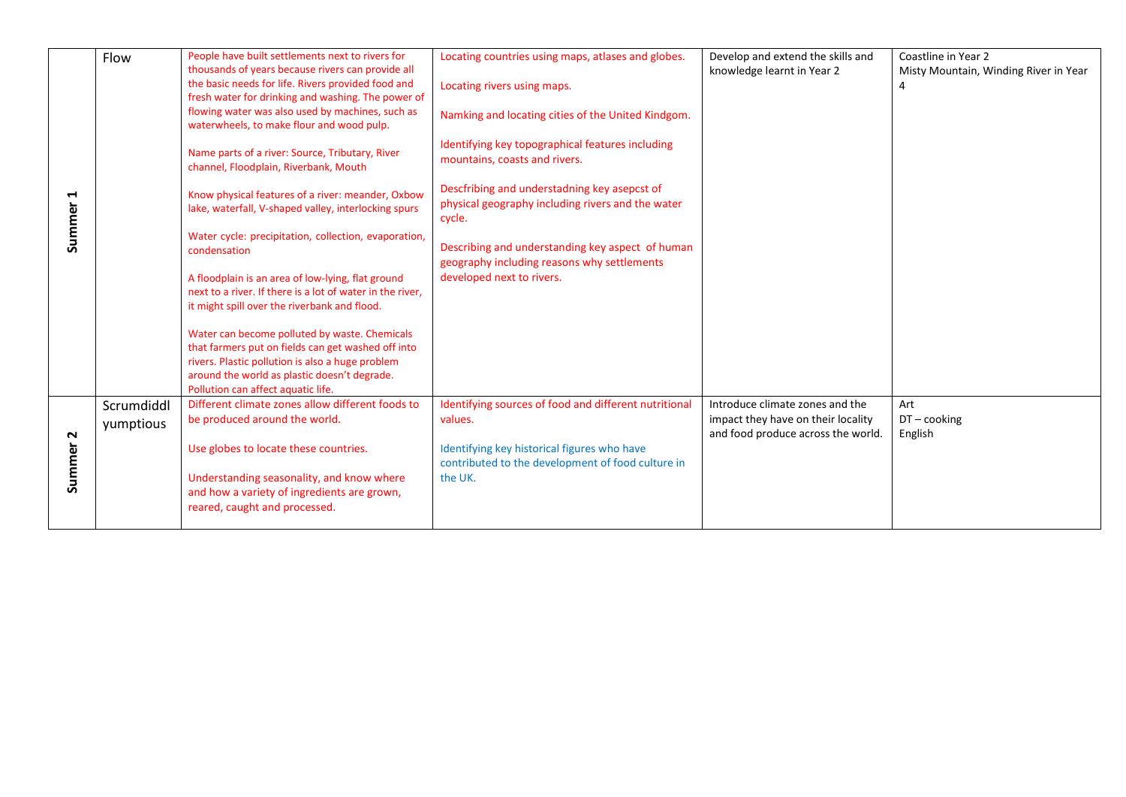|                       | Flow       | People have built settlements next to rivers for                                                          | Locating countries using maps, atlases and globes.                                                          | Develop and extend the skills and  | Coastline in Year 2                   |
|-----------------------|------------|-----------------------------------------------------------------------------------------------------------|-------------------------------------------------------------------------------------------------------------|------------------------------------|---------------------------------------|
|                       |            | thousands of years because rivers can provide all                                                         |                                                                                                             | knowledge learnt in Year 2         | Misty Mountain, Winding River in Year |
|                       |            | the basic needs for life. Rivers provided food and                                                        | Locating rivers using maps.                                                                                 |                                    | 4                                     |
|                       |            | fresh water for drinking and washing. The power of                                                        |                                                                                                             |                                    |                                       |
|                       |            | flowing water was also used by machines, such as                                                          | Namking and locating cities of the United Kindgom.                                                          |                                    |                                       |
|                       |            | waterwheels, to make flour and wood pulp.                                                                 |                                                                                                             |                                    |                                       |
|                       |            | Name parts of a river: Source, Tributary, River<br>channel, Floodplain, Riverbank, Mouth                  | Identifying key topographical features including<br>mountains, coasts and rivers.                           |                                    |                                       |
| H<br>Summer           |            | Know physical features of a river: meander, Oxbow<br>lake, waterfall, V-shaped valley, interlocking spurs | Descfribing and understadning key asepcst of<br>physical geography including rivers and the water<br>cycle. |                                    |                                       |
|                       |            | Water cycle: precipitation, collection, evaporation,<br>condensation                                      | Describing and understanding key aspect of human<br>geography including reasons why settlements             |                                    |                                       |
|                       |            | A floodplain is an area of low-lying, flat ground                                                         | developed next to rivers.                                                                                   |                                    |                                       |
|                       |            | next to a river. If there is a lot of water in the river,                                                 |                                                                                                             |                                    |                                       |
|                       |            | it might spill over the riverbank and flood.                                                              |                                                                                                             |                                    |                                       |
|                       |            | Water can become polluted by waste. Chemicals                                                             |                                                                                                             |                                    |                                       |
|                       |            | that farmers put on fields can get washed off into                                                        |                                                                                                             |                                    |                                       |
|                       |            | rivers. Plastic pollution is also a huge problem                                                          |                                                                                                             |                                    |                                       |
|                       |            | around the world as plastic doesn't degrade.                                                              |                                                                                                             |                                    |                                       |
|                       |            | Pollution can affect aquatic life.                                                                        |                                                                                                             |                                    |                                       |
|                       | Scrumdiddl | Different climate zones allow different foods to                                                          | Identifying sources of food and different nutritional                                                       | Introduce climate zones and the    | Art                                   |
|                       | yumptious  | be produced around the world.                                                                             | values.                                                                                                     | impact they have on their locality | $DT$ - cooking                        |
| $\mathbf{\mathsf{N}}$ |            |                                                                                                           |                                                                                                             | and food produce across the world. | English                               |
|                       |            | Use globes to locate these countries.                                                                     | Identifying key historical figures who have                                                                 |                                    |                                       |
| Summer                |            |                                                                                                           | contributed to the development of food culture in                                                           |                                    |                                       |
|                       |            | Understanding seasonality, and know where                                                                 | the UK.                                                                                                     |                                    |                                       |
|                       |            | and how a variety of ingredients are grown,                                                               |                                                                                                             |                                    |                                       |
|                       |            | reared, caught and processed.                                                                             |                                                                                                             |                                    |                                       |
|                       |            |                                                                                                           |                                                                                                             |                                    |                                       |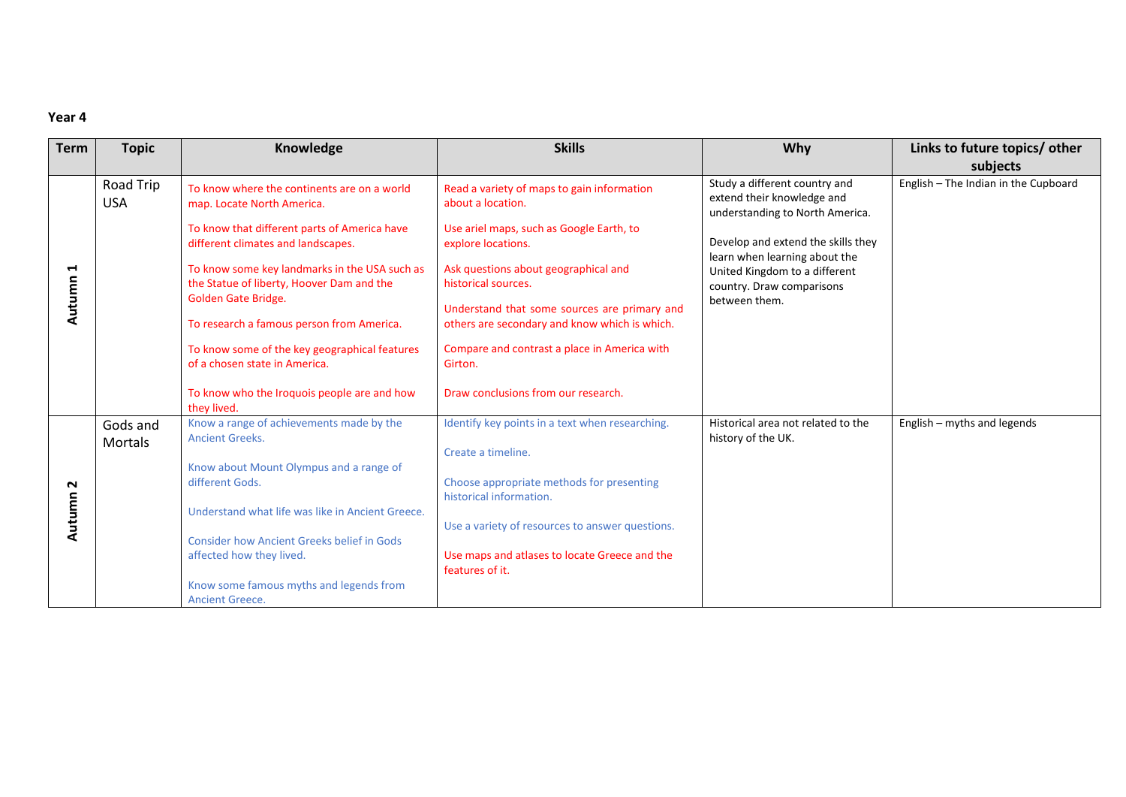| <b>Term</b> | <b>Topic</b>               | Knowledge                                                                                                                                                                                                                                                            | <b>Skills</b>                                                                                                                                                                                                     | <b>Why</b>                                                                                     | Links to future topics/ other        |
|-------------|----------------------------|----------------------------------------------------------------------------------------------------------------------------------------------------------------------------------------------------------------------------------------------------------------------|-------------------------------------------------------------------------------------------------------------------------------------------------------------------------------------------------------------------|------------------------------------------------------------------------------------------------|--------------------------------------|
|             |                            |                                                                                                                                                                                                                                                                      |                                                                                                                                                                                                                   |                                                                                                | subjects                             |
|             | Road Trip<br><b>USA</b>    | To know where the continents are on a world<br>map. Locate North America.                                                                                                                                                                                            | Read a variety of maps to gain information<br>about a location.                                                                                                                                                   | Study a different country and<br>extend their knowledge and<br>understanding to North America. | English - The Indian in the Cupboard |
|             |                            | To know that different parts of America have<br>different climates and landscapes.                                                                                                                                                                                   | Use ariel maps, such as Google Earth, to<br>explore locations.                                                                                                                                                    | Develop and extend the skills they<br>learn when learning about the                            |                                      |
| Н<br>Autumn |                            | To know some key landmarks in the USA such as<br>the Statue of liberty, Hoover Dam and the<br>Golden Gate Bridge.<br>To research a famous person from America.                                                                                                       | Ask questions about geographical and<br>historical sources.<br>Understand that some sources are primary and<br>others are secondary and know which is which.                                                      | United Kingdom to a different<br>country. Draw comparisons<br>between them.                    |                                      |
|             |                            | To know some of the key geographical features<br>of a chosen state in America.<br>To know who the Iroquois people are and how                                                                                                                                        | Compare and contrast a place in America with<br>Girton.<br>Draw conclusions from our research.                                                                                                                    |                                                                                                |                                      |
|             |                            | they lived.                                                                                                                                                                                                                                                          |                                                                                                                                                                                                                   |                                                                                                |                                      |
|             | Gods and<br><b>Mortals</b> | Know a range of achievements made by the<br><b>Ancient Greeks.</b>                                                                                                                                                                                                   | Identify key points in a text when researching.                                                                                                                                                                   | Historical area not related to the<br>history of the UK.                                       | English - myths and legends          |
| N<br>Autumn |                            | Know about Mount Olympus and a range of<br>different Gods.<br>Understand what life was like in Ancient Greece.<br><b>Consider how Ancient Greeks belief in Gods</b><br>affected how they lived.<br>Know some famous myths and legends from<br><b>Ancient Greece.</b> | Create a timeline.<br>Choose appropriate methods for presenting<br>historical information.<br>Use a variety of resources to answer questions.<br>Use maps and atlases to locate Greece and the<br>features of it. |                                                                                                |                                      |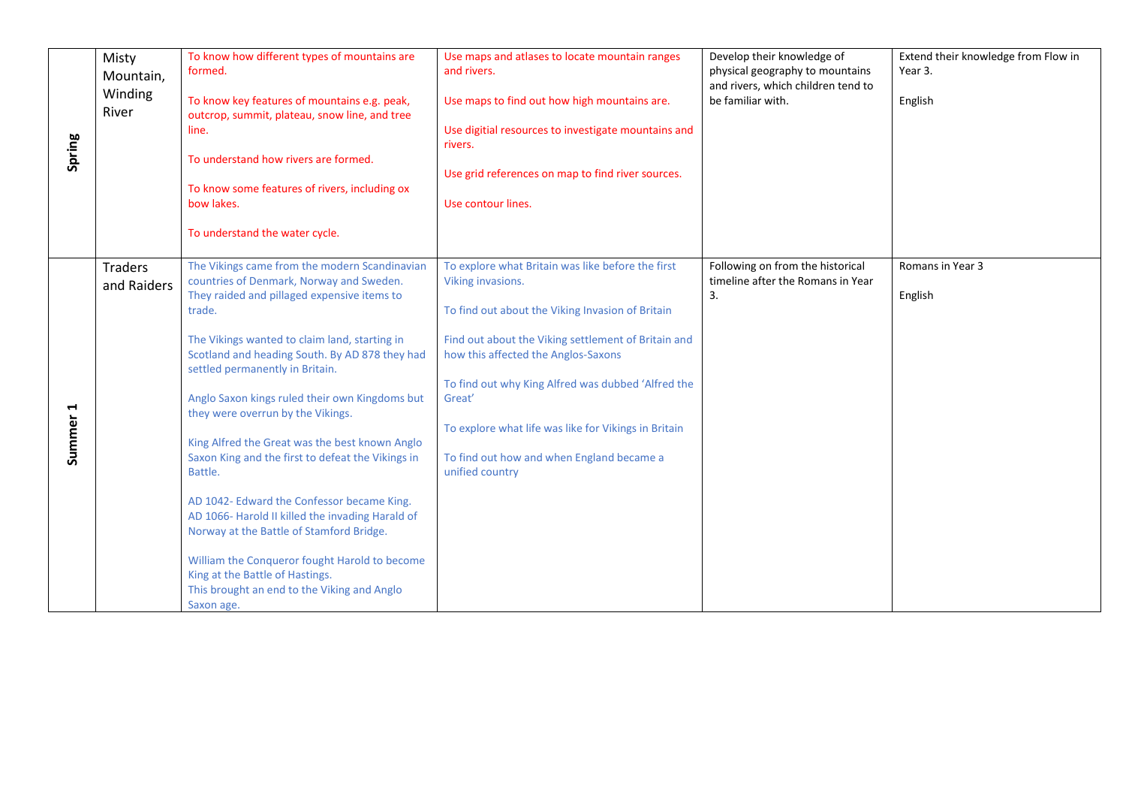| Spring      | Misty<br>Mountain,<br>Winding<br>River | To know how different types of mountains are<br>formed.<br>To know key features of mountains e.g. peak,<br>outcrop, summit, plateau, snow line, and tree<br>line.<br>To understand how rivers are formed.<br>To know some features of rivers, including ox<br>bow lakes.<br>To understand the water cycle.                                                                                                                                                                                                                                                                                                                                                                                                                                                                                       | Use maps and atlases to locate mountain ranges<br>and rivers.<br>Use maps to find out how high mountains are.<br>Use digitial resources to investigate mountains and<br>rivers.<br>Use grid references on map to find river sources.<br>Use contour lines.                                                                                                                                                       | Develop their knowledge of<br>physical geography to mountains<br>and rivers, which children tend to<br>be familiar with. | Extend their knowledge from Flow in<br>Year 3.<br>English |
|-------------|----------------------------------------|--------------------------------------------------------------------------------------------------------------------------------------------------------------------------------------------------------------------------------------------------------------------------------------------------------------------------------------------------------------------------------------------------------------------------------------------------------------------------------------------------------------------------------------------------------------------------------------------------------------------------------------------------------------------------------------------------------------------------------------------------------------------------------------------------|------------------------------------------------------------------------------------------------------------------------------------------------------------------------------------------------------------------------------------------------------------------------------------------------------------------------------------------------------------------------------------------------------------------|--------------------------------------------------------------------------------------------------------------------------|-----------------------------------------------------------|
| 4<br>Summer | <b>Traders</b><br>and Raiders          | The Vikings came from the modern Scandinavian<br>countries of Denmark, Norway and Sweden.<br>They raided and pillaged expensive items to<br>trade.<br>The Vikings wanted to claim land, starting in<br>Scotland and heading South. By AD 878 they had<br>settled permanently in Britain.<br>Anglo Saxon kings ruled their own Kingdoms but<br>they were overrun by the Vikings.<br>King Alfred the Great was the best known Anglo<br>Saxon King and the first to defeat the Vikings in<br>Battle.<br>AD 1042- Edward the Confessor became King.<br>AD 1066- Harold II killed the invading Harald of<br>Norway at the Battle of Stamford Bridge.<br>William the Conqueror fought Harold to become<br>King at the Battle of Hastings.<br>This brought an end to the Viking and Anglo<br>Saxon age. | To explore what Britain was like before the first<br>Viking invasions.<br>To find out about the Viking Invasion of Britain<br>Find out about the Viking settlement of Britain and<br>how this affected the Anglos-Saxons<br>To find out why King Alfred was dubbed 'Alfred the<br>Great'<br>To explore what life was like for Vikings in Britain<br>To find out how and when England became a<br>unified country | Following on from the historical<br>timeline after the Romans in Year<br>3.                                              | Romans in Year 3<br>English                               |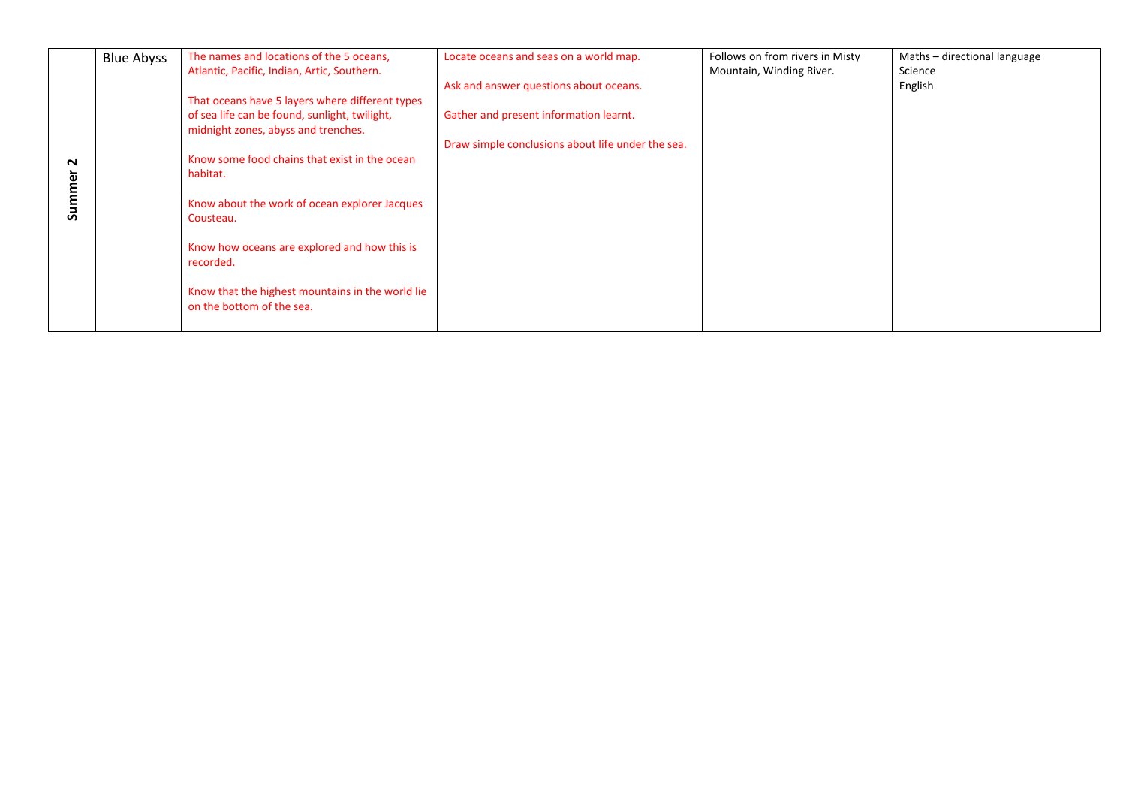|             | <b>Blue Abyss</b> | The names and locations of the 5 oceans,                                                                                                                                                                                                                                                                                                                          | Locate oceans and seas on a world map.                                                                                                | Follows on from rivers in Misty | Maths - directional language<br>Science |
|-------------|-------------------|-------------------------------------------------------------------------------------------------------------------------------------------------------------------------------------------------------------------------------------------------------------------------------------------------------------------------------------------------------------------|---------------------------------------------------------------------------------------------------------------------------------------|---------------------------------|-----------------------------------------|
| N<br>Summer |                   | Atlantic, Pacific, Indian, Artic, Southern.<br>That oceans have 5 layers where different types<br>of sea life can be found, sunlight, twilight,<br>midnight zones, abyss and trenches.<br>Know some food chains that exist in the ocean<br>habitat.<br>Know about the work of ocean explorer Jacques<br>Cousteau.<br>Know how oceans are explored and how this is | Ask and answer questions about oceans.<br>Gather and present information learnt.<br>Draw simple conclusions about life under the sea. | Mountain, Winding River.        | English                                 |
|             |                   | recorded.                                                                                                                                                                                                                                                                                                                                                         |                                                                                                                                       |                                 |                                         |
|             |                   | Know that the highest mountains in the world lie<br>on the bottom of the sea.                                                                                                                                                                                                                                                                                     |                                                                                                                                       |                                 |                                         |
|             |                   |                                                                                                                                                                                                                                                                                                                                                                   |                                                                                                                                       |                                 |                                         |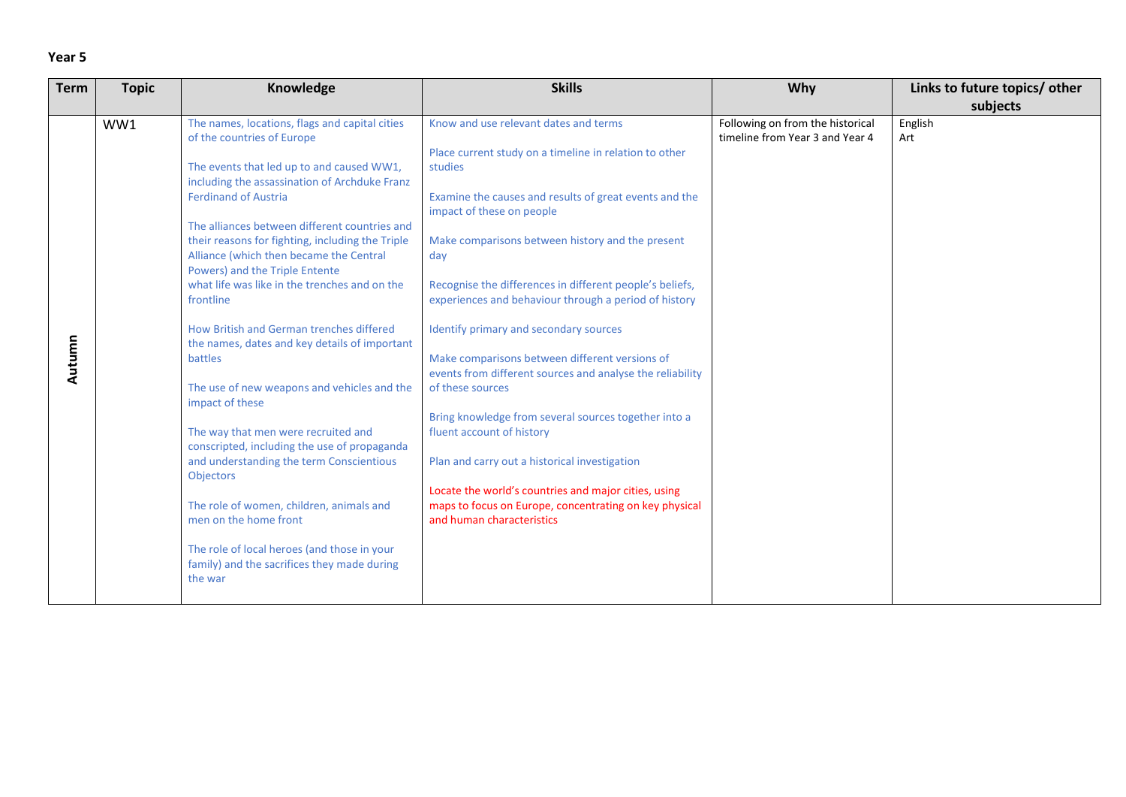| <b>Term</b> | <b>Topic</b> | Knowledge                                                                                                                                                                                                                                                                                                                                                                                                                                                                                                                                                                                                                                                                                                                                                                                                                                                                                                                                                                | <b>Skills</b>                                                                                                                                                                                                                                                                                                                                                                                                                                                                                                                                                                                                                                                                                                                                                                                                                                       | Why                                                                 | Links to future topics/ other |
|-------------|--------------|--------------------------------------------------------------------------------------------------------------------------------------------------------------------------------------------------------------------------------------------------------------------------------------------------------------------------------------------------------------------------------------------------------------------------------------------------------------------------------------------------------------------------------------------------------------------------------------------------------------------------------------------------------------------------------------------------------------------------------------------------------------------------------------------------------------------------------------------------------------------------------------------------------------------------------------------------------------------------|-----------------------------------------------------------------------------------------------------------------------------------------------------------------------------------------------------------------------------------------------------------------------------------------------------------------------------------------------------------------------------------------------------------------------------------------------------------------------------------------------------------------------------------------------------------------------------------------------------------------------------------------------------------------------------------------------------------------------------------------------------------------------------------------------------------------------------------------------------|---------------------------------------------------------------------|-------------------------------|
|             |              |                                                                                                                                                                                                                                                                                                                                                                                                                                                                                                                                                                                                                                                                                                                                                                                                                                                                                                                                                                          |                                                                                                                                                                                                                                                                                                                                                                                                                                                                                                                                                                                                                                                                                                                                                                                                                                                     |                                                                     | subjects                      |
| Autumn      | WW1          | The names, locations, flags and capital cities<br>of the countries of Europe<br>The events that led up to and caused WW1,<br>including the assassination of Archduke Franz<br><b>Ferdinand of Austria</b><br>The alliances between different countries and<br>their reasons for fighting, including the Triple<br>Alliance (which then became the Central<br>Powers) and the Triple Entente<br>what life was like in the trenches and on the<br>frontline<br>How British and German trenches differed<br>the names, dates and key details of important<br>battles<br>The use of new weapons and vehicles and the<br>impact of these<br>The way that men were recruited and<br>conscripted, including the use of propaganda<br>and understanding the term Conscientious<br><b>Objectors</b><br>The role of women, children, animals and<br>men on the home front<br>The role of local heroes (and those in your<br>family) and the sacrifices they made during<br>the war | Know and use relevant dates and terms<br>Place current study on a timeline in relation to other<br>studies<br>Examine the causes and results of great events and the<br>impact of these on people<br>Make comparisons between history and the present<br>day<br>Recognise the differences in different people's beliefs,<br>experiences and behaviour through a period of history<br>Identify primary and secondary sources<br>Make comparisons between different versions of<br>events from different sources and analyse the reliability<br>of these sources<br>Bring knowledge from several sources together into a<br>fluent account of history<br>Plan and carry out a historical investigation<br>Locate the world's countries and major cities, using<br>maps to focus on Europe, concentrating on key physical<br>and human characteristics | Following on from the historical<br>timeline from Year 3 and Year 4 | English<br>Art                |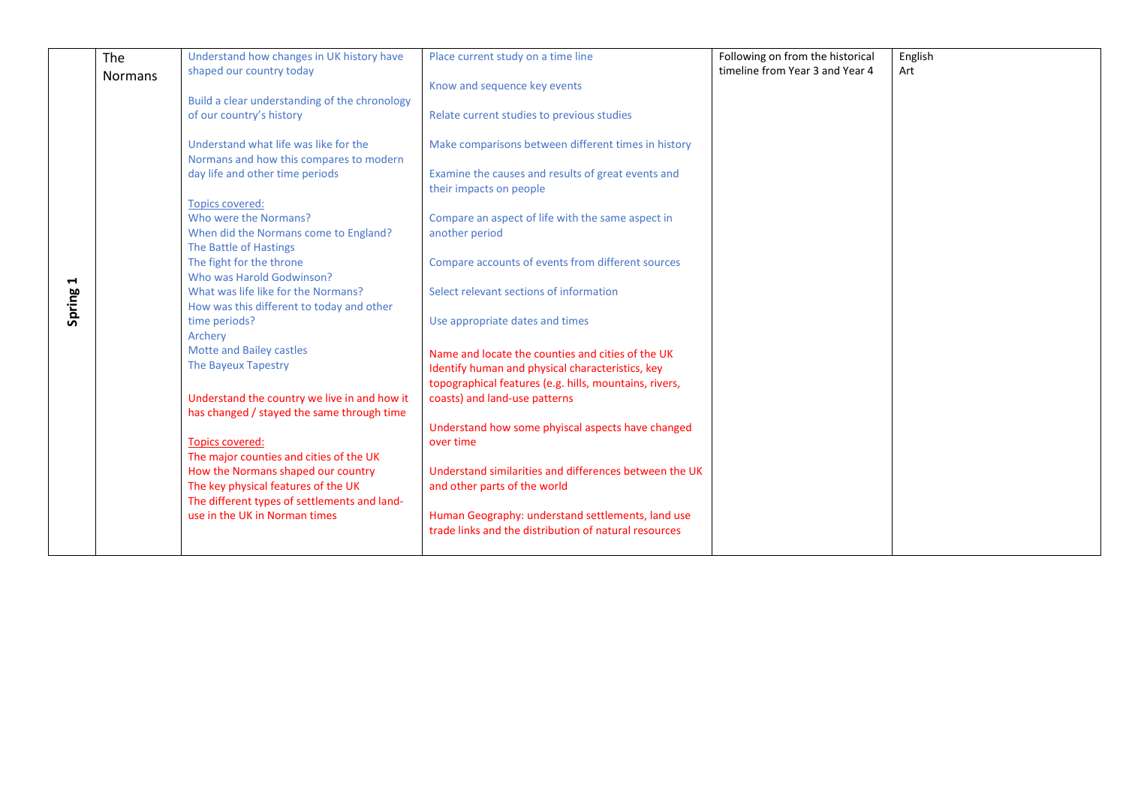|                       | The     | Understand how changes in UK history have     | Place current study on a time line                     | Following on from the historical | English |
|-----------------------|---------|-----------------------------------------------|--------------------------------------------------------|----------------------------------|---------|
|                       | Normans | shaped our country today                      |                                                        | timeline from Year 3 and Year 4  | Art     |
|                       |         |                                               | Know and sequence key events                           |                                  |         |
|                       |         | Build a clear understanding of the chronology |                                                        |                                  |         |
|                       |         | of our country's history                      | Relate current studies to previous studies             |                                  |         |
|                       |         |                                               |                                                        |                                  |         |
|                       |         |                                               |                                                        |                                  |         |
|                       |         | Understand what life was like for the         | Make comparisons between different times in history    |                                  |         |
|                       |         | Normans and how this compares to modern       |                                                        |                                  |         |
|                       |         | day life and other time periods               | Examine the causes and results of great events and     |                                  |         |
|                       |         |                                               | their impacts on people                                |                                  |         |
|                       |         | <b>Topics covered:</b>                        |                                                        |                                  |         |
|                       |         | Who were the Normans?                         | Compare an aspect of life with the same aspect in      |                                  |         |
|                       |         | When did the Normans come to England?         | another period                                         |                                  |         |
|                       |         |                                               |                                                        |                                  |         |
|                       |         | The Battle of Hastings                        |                                                        |                                  |         |
|                       |         | The fight for the throne                      | Compare accounts of events from different sources      |                                  |         |
| $\blacktriangleright$ |         | Who was Harold Godwinson?                     |                                                        |                                  |         |
|                       |         | What was life like for the Normans?           | Select relevant sections of information                |                                  |         |
|                       |         | How was this different to today and other     |                                                        |                                  |         |
| Spring                |         | time periods?                                 | Use appropriate dates and times                        |                                  |         |
|                       |         | Archery                                       |                                                        |                                  |         |
|                       |         | Motte and Bailey castles                      |                                                        |                                  |         |
|                       |         | The Bayeux Tapestry                           | Name and locate the counties and cities of the UK      |                                  |         |
|                       |         |                                               | Identify human and physical characteristics, key       |                                  |         |
|                       |         |                                               | topographical features (e.g. hills, mountains, rivers, |                                  |         |
|                       |         | Understand the country we live in and how it  | coasts) and land-use patterns                          |                                  |         |
|                       |         | has changed / stayed the same through time    |                                                        |                                  |         |
|                       |         |                                               | Understand how some phyiscal aspects have changed      |                                  |         |
|                       |         | <b>Topics covered:</b>                        | over time                                              |                                  |         |
|                       |         | The major counties and cities of the UK       |                                                        |                                  |         |
|                       |         |                                               |                                                        |                                  |         |
|                       |         | How the Normans shaped our country            | Understand similarities and differences between the UK |                                  |         |
|                       |         | The key physical features of the UK           | and other parts of the world                           |                                  |         |
|                       |         | The different types of settlements and land-  |                                                        |                                  |         |
|                       |         | use in the UK in Norman times                 | Human Geography: understand settlements, land use      |                                  |         |
|                       |         |                                               | trade links and the distribution of natural resources  |                                  |         |
|                       |         |                                               |                                                        |                                  |         |
|                       |         |                                               |                                                        |                                  |         |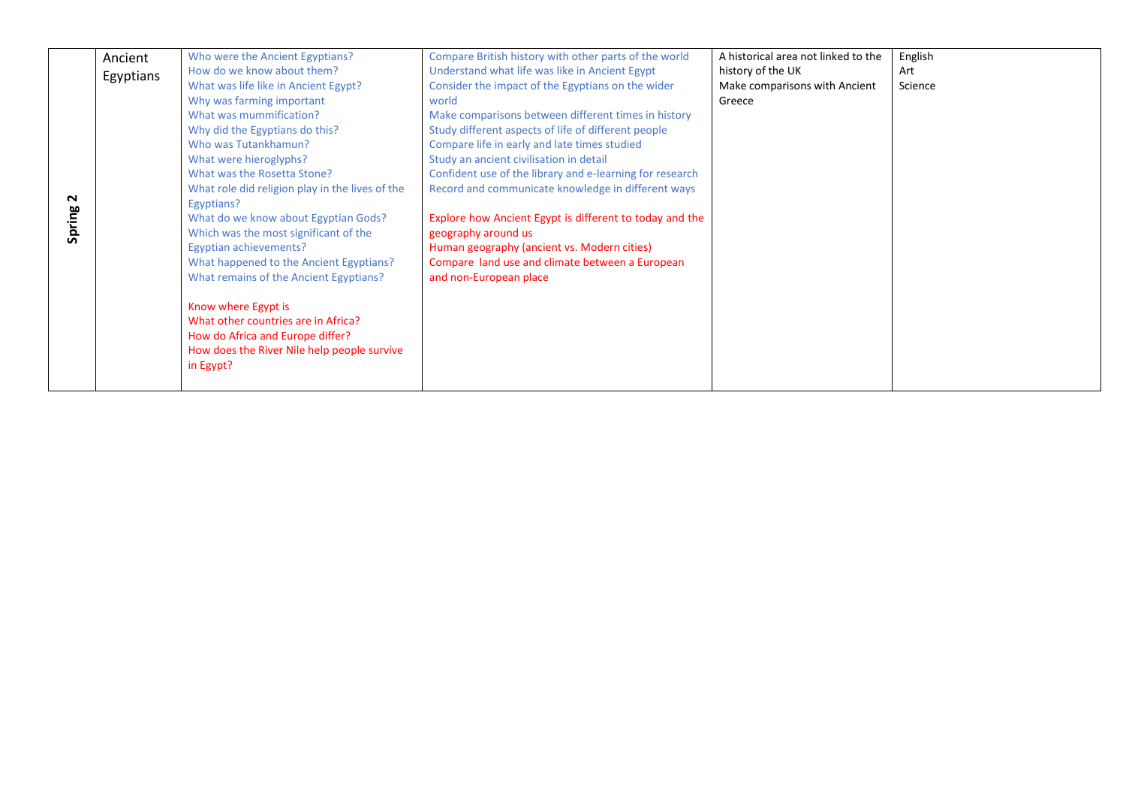|        | Ancient   | Who were the Ancient Egyptians?                            | Compare British history with other parts of the world    | A historical area not linked to the | English |
|--------|-----------|------------------------------------------------------------|----------------------------------------------------------|-------------------------------------|---------|
|        |           | How do we know about them?                                 | Understand what life was like in Ancient Egypt           | history of the UK                   | Art     |
|        | Egyptians | What was life like in Ancient Egypt?                       | Consider the impact of the Egyptians on the wider        | Make comparisons with Ancient       | Science |
|        |           | Why was farming important                                  | world                                                    | Greece                              |         |
|        |           | What was mummification?                                    | Make comparisons between different times in history      |                                     |         |
|        |           | Why did the Egyptians do this?                             | Study different aspects of life of different people      |                                     |         |
|        |           | Who was Tutankhamun?                                       | Compare life in early and late times studied             |                                     |         |
|        |           | What were hieroglyphs?                                     | Study an ancient civilisation in detail                  |                                     |         |
|        |           | What was the Rosetta Stone?                                | Confident use of the library and e-learning for research |                                     |         |
|        |           | What role did religion play in the lives of the            | Record and communicate knowledge in different ways       |                                     |         |
| $\sim$ |           | Egyptians?                                                 |                                                          |                                     |         |
| Spring |           | What do we know about Egyptian Gods?                       | Explore how Ancient Egypt is different to today and the  |                                     |         |
|        |           | Which was the most significant of the                      | geography around us                                      |                                     |         |
|        |           | Egyptian achievements?                                     | Human geography (ancient vs. Modern cities)              |                                     |         |
|        |           | What happened to the Ancient Egyptians?                    | Compare land use and climate between a European          |                                     |         |
|        |           | What remains of the Ancient Egyptians?                     | and non-European place                                   |                                     |         |
|        |           |                                                            |                                                          |                                     |         |
|        |           | Know where Egypt is<br>What other countries are in Africa? |                                                          |                                     |         |
|        |           | How do Africa and Europe differ?                           |                                                          |                                     |         |
|        |           |                                                            |                                                          |                                     |         |
|        |           | How does the River Nile help people survive                |                                                          |                                     |         |
|        |           | in Egypt?                                                  |                                                          |                                     |         |
|        |           |                                                            |                                                          |                                     |         |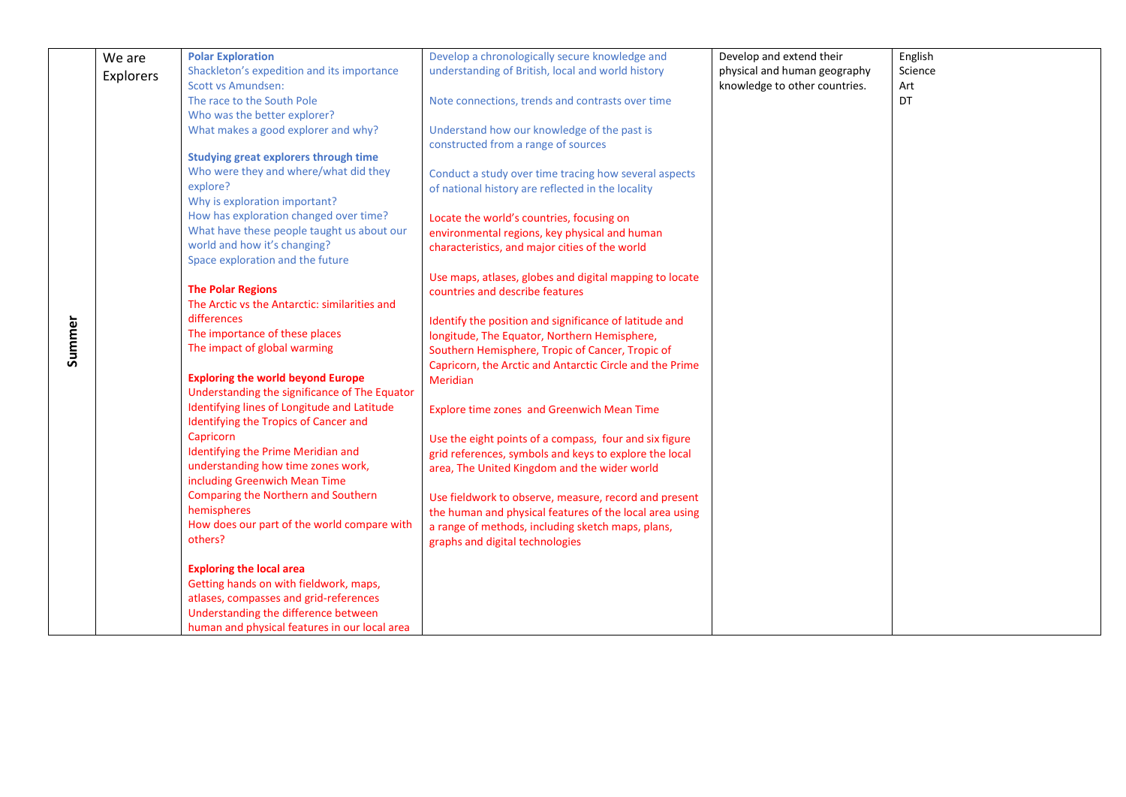|        | We are           | <b>Polar Exploration</b>                      | Develop a chronologically secure knowledge and           | Develop and extend their      | English   |
|--------|------------------|-----------------------------------------------|----------------------------------------------------------|-------------------------------|-----------|
|        | <b>Explorers</b> | Shackleton's expedition and its importance    | understanding of British, local and world history        | physical and human geography  | Science   |
|        |                  | <b>Scott vs Amundsen:</b>                     |                                                          | knowledge to other countries. | Art       |
|        |                  | The race to the South Pole                    | Note connections, trends and contrasts over time         |                               | <b>DT</b> |
|        |                  | Who was the better explorer?                  |                                                          |                               |           |
|        |                  | What makes a good explorer and why?           | Understand how our knowledge of the past is              |                               |           |
|        |                  |                                               | constructed from a range of sources                      |                               |           |
|        |                  | <b>Studying great explorers through time</b>  |                                                          |                               |           |
|        |                  | Who were they and where/what did they         | Conduct a study over time tracing how several aspects    |                               |           |
|        |                  | explore?                                      | of national history are reflected in the locality        |                               |           |
|        |                  | Why is exploration important?                 |                                                          |                               |           |
|        |                  | How has exploration changed over time?        | Locate the world's countries, focusing on                |                               |           |
|        |                  | What have these people taught us about our    | environmental regions, key physical and human            |                               |           |
|        |                  | world and how it's changing?                  | characteristics, and major cities of the world           |                               |           |
|        |                  | Space exploration and the future              |                                                          |                               |           |
|        |                  |                                               | Use maps, atlases, globes and digital mapping to locate  |                               |           |
|        |                  | <b>The Polar Regions</b>                      | countries and describe features                          |                               |           |
|        |                  | The Arctic vs the Antarctic: similarities and |                                                          |                               |           |
|        |                  | differences                                   | Identify the position and significance of latitude and   |                               |           |
| Summer |                  | The importance of these places                | longitude, The Equator, Northern Hemisphere,             |                               |           |
|        |                  | The impact of global warming                  | Southern Hemisphere, Tropic of Cancer, Tropic of         |                               |           |
|        |                  |                                               | Capricorn, the Arctic and Antarctic Circle and the Prime |                               |           |
|        |                  | <b>Exploring the world beyond Europe</b>      | Meridian                                                 |                               |           |
|        |                  | Understanding the significance of The Equator |                                                          |                               |           |
|        |                  | Identifying lines of Longitude and Latitude   | Explore time zones and Greenwich Mean Time               |                               |           |
|        |                  | Identifying the Tropics of Cancer and         |                                                          |                               |           |
|        |                  | Capricorn                                     | Use the eight points of a compass, four and six figure   |                               |           |
|        |                  | Identifying the Prime Meridian and            | grid references, symbols and keys to explore the local   |                               |           |
|        |                  | understanding how time zones work,            | area, The United Kingdom and the wider world             |                               |           |
|        |                  | including Greenwich Mean Time                 |                                                          |                               |           |
|        |                  | <b>Comparing the Northern and Southern</b>    | Use fieldwork to observe, measure, record and present    |                               |           |
|        |                  | hemispheres                                   | the human and physical features of the local area using  |                               |           |
|        |                  | How does our part of the world compare with   | a range of methods, including sketch maps, plans,        |                               |           |
|        |                  | others?                                       | graphs and digital technologies                          |                               |           |
|        |                  | <b>Exploring the local area</b>               |                                                          |                               |           |
|        |                  | Getting hands on with fieldwork, maps,        |                                                          |                               |           |
|        |                  | atlases, compasses and grid-references        |                                                          |                               |           |
|        |                  | Understanding the difference between          |                                                          |                               |           |
|        |                  | human and physical features in our local area |                                                          |                               |           |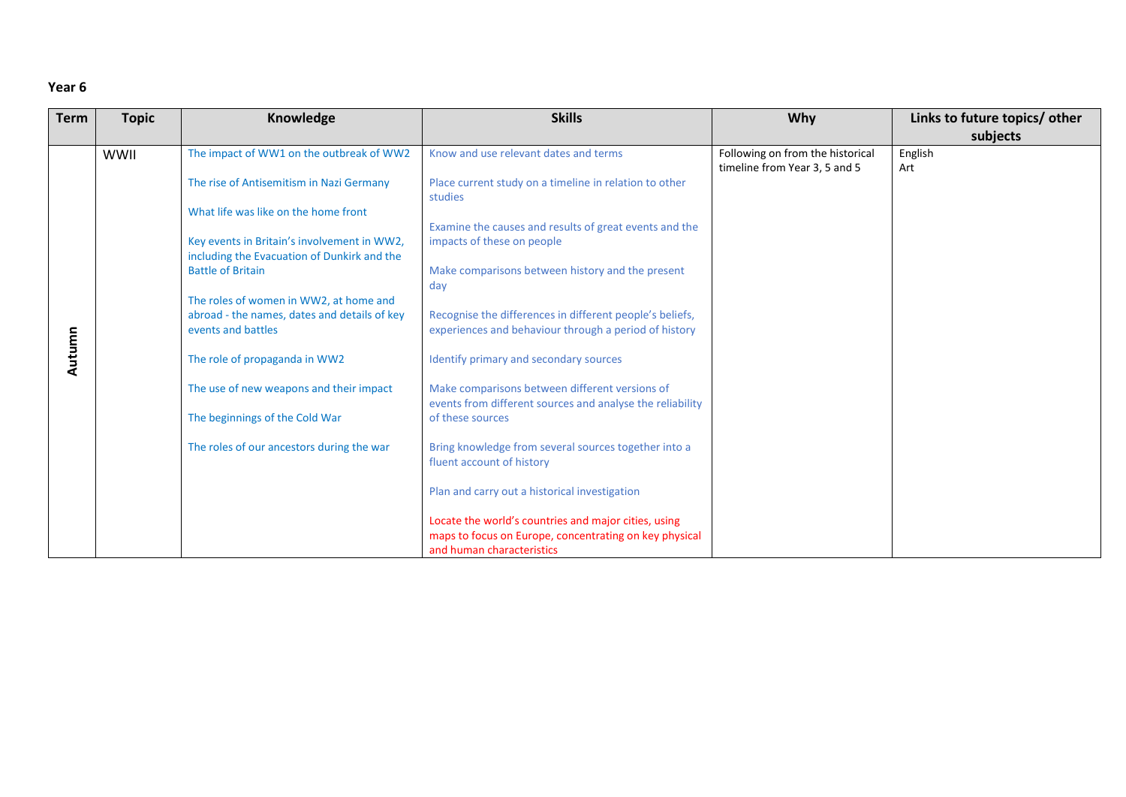| <b>Term</b> | <b>Topic</b> | Knowledge                                    | <b>Skills</b>                                                                     | Why                              | Links to future topics/ other |
|-------------|--------------|----------------------------------------------|-----------------------------------------------------------------------------------|----------------------------------|-------------------------------|
|             |              |                                              |                                                                                   |                                  | subjects                      |
|             | WWII         | The impact of WW1 on the outbreak of WW2     | Know and use relevant dates and terms                                             | Following on from the historical | English                       |
|             |              |                                              |                                                                                   | timeline from Year 3, 5 and 5    | Art                           |
|             |              | The rise of Antisemitism in Nazi Germany     | Place current study on a timeline in relation to other<br>studies                 |                                  |                               |
|             |              | What life was like on the home front         |                                                                                   |                                  |                               |
|             |              |                                              | Examine the causes and results of great events and the                            |                                  |                               |
|             |              | Key events in Britain's involvement in WW2,  | impacts of these on people                                                        |                                  |                               |
|             |              | including the Evacuation of Dunkirk and the  |                                                                                   |                                  |                               |
|             |              | <b>Battle of Britain</b>                     | Make comparisons between history and the present                                  |                                  |                               |
|             |              |                                              | day                                                                               |                                  |                               |
|             |              | The roles of women in WW2, at home and       |                                                                                   |                                  |                               |
|             |              | abroad - the names, dates and details of key | Recognise the differences in different people's beliefs,                          |                                  |                               |
|             |              | events and battles                           | experiences and behaviour through a period of history                             |                                  |                               |
| Autumn      |              | The role of propaganda in WW2                | Identify primary and secondary sources                                            |                                  |                               |
|             |              | The use of new weapons and their impact      | Make comparisons between different versions of                                    |                                  |                               |
|             |              |                                              | events from different sources and analyse the reliability                         |                                  |                               |
|             |              | The beginnings of the Cold War               | of these sources                                                                  |                                  |                               |
|             |              | The roles of our ancestors during the war    | Bring knowledge from several sources together into a<br>fluent account of history |                                  |                               |
|             |              |                                              |                                                                                   |                                  |                               |
|             |              |                                              | Plan and carry out a historical investigation                                     |                                  |                               |
|             |              |                                              | Locate the world's countries and major cities, using                              |                                  |                               |
|             |              |                                              | maps to focus on Europe, concentrating on key physical                            |                                  |                               |
|             |              |                                              | and human characteristics                                                         |                                  |                               |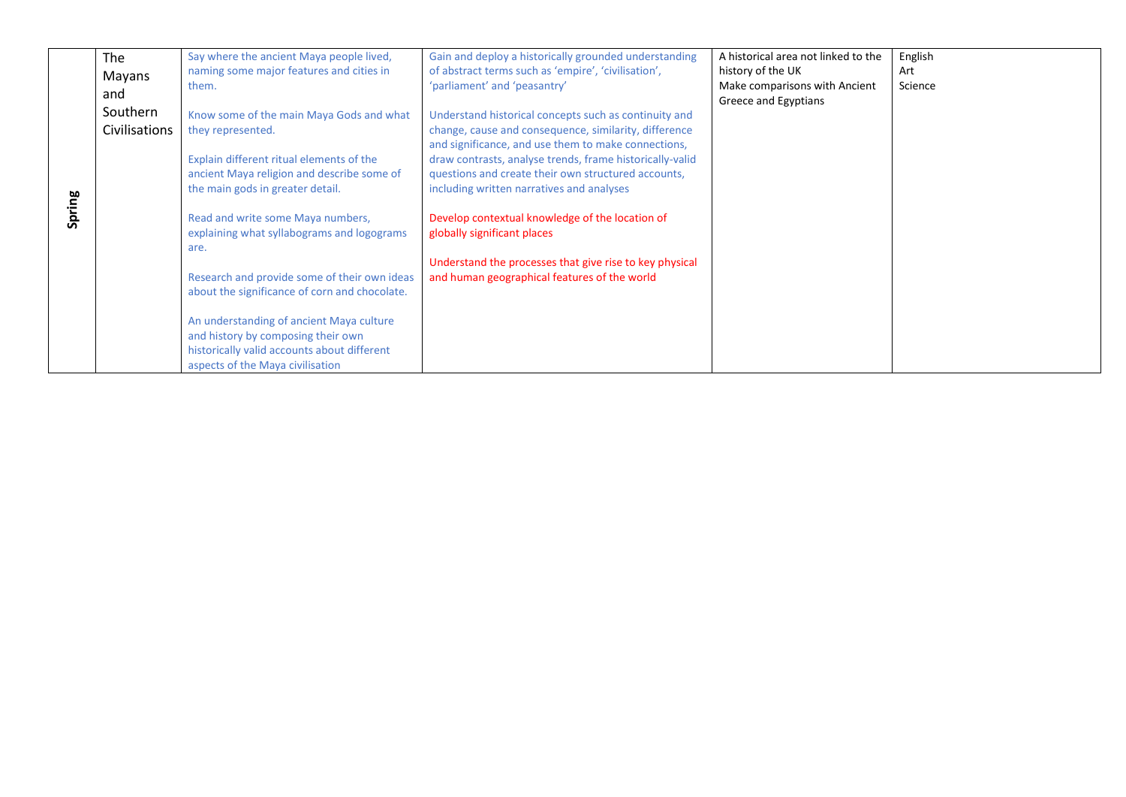|        | The<br>Mayans<br>and<br>Southern<br><b>Civilisations</b> | Say where the ancient Maya people lived,<br>naming some major features and cities in<br>them.<br>Know some of the main Maya Gods and what<br>they represented.                                                                                                                                                                                                                                                                                                                              | Gain and deploy a historically grounded understanding<br>of abstract terms such as 'empire', 'civilisation',<br>'parliament' and 'peasantry'<br>Understand historical concepts such as continuity and<br>change, cause and consequence, similarity, difference                                                                                                                                                   | A historical area not linked to the<br>history of the UK<br>Make comparisons with Ancient<br>Greece and Egyptians | English<br>Art<br>Science |
|--------|----------------------------------------------------------|---------------------------------------------------------------------------------------------------------------------------------------------------------------------------------------------------------------------------------------------------------------------------------------------------------------------------------------------------------------------------------------------------------------------------------------------------------------------------------------------|------------------------------------------------------------------------------------------------------------------------------------------------------------------------------------------------------------------------------------------------------------------------------------------------------------------------------------------------------------------------------------------------------------------|-------------------------------------------------------------------------------------------------------------------|---------------------------|
| Spring |                                                          | Explain different ritual elements of the<br>ancient Maya religion and describe some of<br>the main gods in greater detail.<br>Read and write some Maya numbers,<br>explaining what syllabograms and logograms<br>are.<br>Research and provide some of their own ideas<br>about the significance of corn and chocolate.<br>An understanding of ancient Maya culture<br>and history by composing their own<br>historically valid accounts about different<br>aspects of the Maya civilisation | and significance, and use them to make connections,<br>draw contrasts, analyse trends, frame historically-valid<br>questions and create their own structured accounts,<br>including written narratives and analyses<br>Develop contextual knowledge of the location of<br>globally significant places<br>Understand the processes that give rise to key physical<br>and human geographical features of the world |                                                                                                                   |                           |